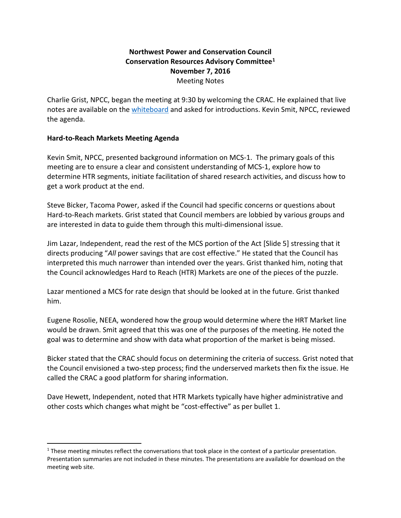## **Northwest Power and Conservation Council Conservation Resources Advisory Committee[1](#page-0-0) November 7, 2016** Meeting Notes

Charlie Grist, NPCC, began the meeting at 9:30 by welcoming the CRAC. He explained that live notes are available on the [whiteboard](https://nwcouncil.app.box.com/notes/99995159515?s=7rfekrb1k7thckyn1rswwlnmqgevbvo7) and asked for introductions. Kevin Smit, NPCC, reviewed the agenda.

#### **Hard-to-Reach Markets Meeting Agenda**

Kevin Smit, NPCC, presented background information on MCS-1. The primary goals of this meeting are to ensure a clear and consistent understanding of MCS-1, explore how to determine HTR segments, initiate facilitation of shared research activities, and discuss how to get a work product at the end.

Steve Bicker, Tacoma Power, asked if the Council had specific concerns or questions about Hard-to-Reach markets. Grist stated that Council members are lobbied by various groups and are interested in data to guide them through this multi-dimensional issue.

Jim Lazar, Independent, read the rest of the MCS portion of the Act [Slide 5] stressing that it directs producing "*All* power savings that are cost effective." He stated that the Council has interpreted this much narrower than intended over the years. Grist thanked him, noting that the Council acknowledges Hard to Reach (HTR) Markets are one of the pieces of the puzzle.

Lazar mentioned a MCS for rate design that should be looked at in the future. Grist thanked him.

Eugene Rosolie, NEEA, wondered how the group would determine where the HRT Market line would be drawn. Smit agreed that this was one of the purposes of the meeting. He noted the goal was to determine and show with data what proportion of the market is being missed.

Bicker stated that the CRAC should focus on determining the criteria of success. Grist noted that the Council envisioned a two-step process; find the underserved markets then fix the issue. He called the CRAC a good platform for sharing information.

Dave Hewett, Independent, noted that HTR Markets typically have higher administrative and other costs which changes what might be "cost-effective" as per bullet 1.

<span id="page-0-0"></span><sup>&</sup>lt;sup>1</sup> These meeting minutes reflect the conversations that took place in the context of a particular presentation. Presentation summaries are not included in these minutes. The presentations are available for download on the meeting web site.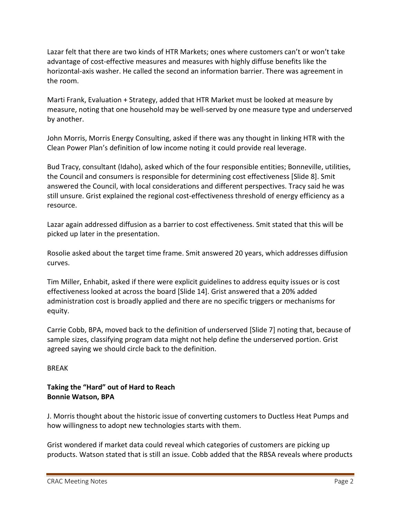Lazar felt that there are two kinds of HTR Markets; ones where customers can't or won't take advantage of cost-effective measures and measures with highly diffuse benefits like the horizontal-axis washer. He called the second an information barrier. There was agreement in the room.

Marti Frank, Evaluation + Strategy, added that HTR Market must be looked at measure by measure, noting that one household may be well-served by one measure type and underserved by another.

John Morris, Morris Energy Consulting, asked if there was any thought in linking HTR with the Clean Power Plan's definition of low income noting it could provide real leverage.

Bud Tracy, consultant (Idaho), asked which of the four responsible entities; Bonneville, utilities, the Council and consumers is responsible for determining cost effectiveness [Slide 8]. Smit answered the Council, with local considerations and different perspectives. Tracy said he was still unsure. Grist explained the regional cost-effectiveness threshold of energy efficiency as a resource.

Lazar again addressed diffusion as a barrier to cost effectiveness. Smit stated that this will be picked up later in the presentation.

Rosolie asked about the target time frame. Smit answered 20 years, which addresses diffusion curves.

Tim Miller, Enhabit, asked if there were explicit guidelines to address equity issues or is cost effectiveness looked at across the board [Slide 14]. Grist answered that a 20% added administration cost is broadly applied and there are no specific triggers or mechanisms for equity.

Carrie Cobb, BPA, moved back to the definition of underserved [Slide 7] noting that, because of sample sizes, classifying program data might not help define the underserved portion. Grist agreed saying we should circle back to the definition.

BREAK

# **Taking the "Hard" out of Hard to Reach Bonnie Watson, BPA**

J. Morris thought about the historic issue of converting customers to Ductless Heat Pumps and how willingness to adopt new technologies starts with them.

Grist wondered if market data could reveal which categories of customers are picking up products. Watson stated that is still an issue. Cobb added that the RBSA reveals where products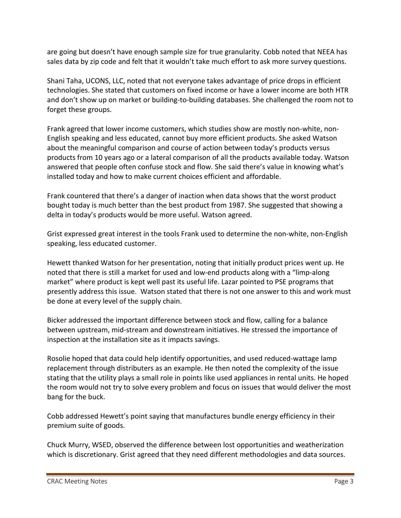are going but doesn't have enough sample size for true granularity. Cobb noted that NEEA has sales data by zip code and felt that it wouldn't take much effort to ask more survey questions.

Shani Taha, UCONS, LLC, noted that not everyone takes advantage of price drops in efficient technologies. She stated that customers on fixed income or have a lower income are both HTR and don't show up on market or building-to-building databases. She challenged the room not to forget these groups.

Frank agreed that lower income customers, which studies show are mostly non-white, non-English speaking and less educated, cannot buy more efficient products. She asked Watson about the meaningful comparison and course of action between today's products versus products from 10 years ago or a lateral comparison of all the products available today. Watson answered that people often confuse stock and flow. She said there's value in knowing what's installed today and how to make current choices efficient and affordable.

Frank countered that there's a danger of inaction when data shows that the worst product bought today is much better than the best product from 1987. She suggested that showing a delta in today's products would be more useful. Watson agreed.

Grist expressed great interest in the tools Frank used to determine the non-white, non-English speaking, less educated customer.

Hewett thanked Watson for her presentation, noting that initially product prices went up. He noted that there is still a market for used and low-end products along with a "limp-along market" where product is kept well past its useful life. Lazar pointed to PSE programs that presently address this issue. Watson stated that there is not one answer to this and work must be done at every level of the supply chain.

Bicker addressed the important difference between stock and flow, calling for a balance between upstream, mid-stream and downstream initiatives. He stressed the importance of inspection at the installation site as it impacts savings.

Rosolie hoped that data could help identify opportunities, and used reduced-wattage lamp replacement through distributers as an example. He then noted the complexity of the issue stating that the utility plays a small role in points like used appliances in rental units. He hoped the room would not try to solve every problem and focus on issues that would deliver the most bang for the buck.

Cobb addressed Hewett's point saying that manufactures bundle energy efficiency in their premium suite of goods.

Chuck Murry, WSED, observed the difference between lost opportunities and weatherization which is discretionary. Grist agreed that they need different methodologies and data sources.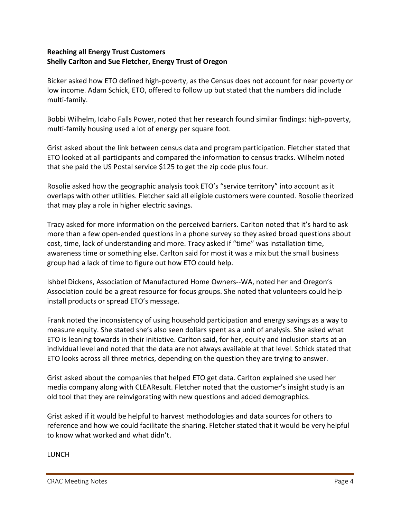## **Reaching all Energy Trust Customers Shelly Carlton and Sue Fletcher, Energy Trust of Oregon**

Bicker asked how ETO defined high-poverty, as the Census does not account for near poverty or low income. Adam Schick, ETO, offered to follow up but stated that the numbers did include multi-family.

Bobbi Wilhelm, Idaho Falls Power, noted that her research found similar findings: high-poverty, multi-family housing used a lot of energy per square foot.

Grist asked about the link between census data and program participation. Fletcher stated that ETO looked at all participants and compared the information to census tracks. Wilhelm noted that she paid the US Postal service \$125 to get the zip code plus four.

Rosolie asked how the geographic analysis took ETO's "service territory" into account as it overlaps with other utilities. Fletcher said all eligible customers were counted. Rosolie theorized that may play a role in higher electric savings.

Tracy asked for more information on the perceived barriers. Carlton noted that it's hard to ask more than a few open-ended questions in a phone survey so they asked broad questions about cost, time, lack of understanding and more. Tracy asked if "time" was installation time, awareness time or something else. Carlton said for most it was a mix but the small business group had a lack of time to figure out how ETO could help.

Ishbel Dickens, Association of Manufactured Home Owners--WA, noted her and Oregon's Association could be a great resource for focus groups. She noted that volunteers could help install products or spread ETO's message.

Frank noted the inconsistency of using household participation and energy savings as a way to measure equity. She stated she's also seen dollars spent as a unit of analysis. She asked what ETO is leaning towards in their initiative. Carlton said, for her, equity and inclusion starts at an individual level and noted that the data are not always available at that level. Schick stated that ETO looks across all three metrics, depending on the question they are trying to answer.

Grist asked about the companies that helped ETO get data. Carlton explained she used her media company along with CLEAResult. Fletcher noted that the customer's insight study is an old tool that they are reinvigorating with new questions and added demographics.

Grist asked if it would be helpful to harvest methodologies and data sources for others to reference and how we could facilitate the sharing. Fletcher stated that it would be very helpful to know what worked and what didn't.

LUNCH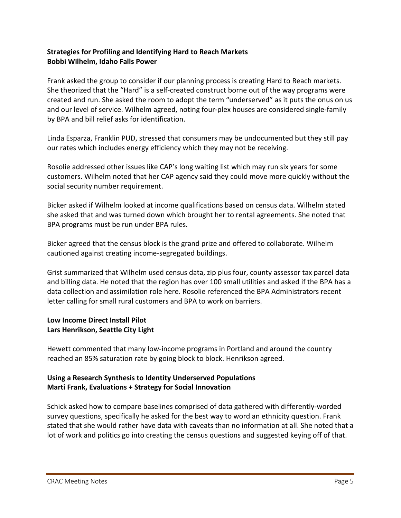## **Strategies for Profiling and Identifying Hard to Reach Markets Bobbi Wilhelm, Idaho Falls Power**

Frank asked the group to consider if our planning process is creating Hard to Reach markets. She theorized that the "Hard" is a self-created construct borne out of the way programs were created and run. She asked the room to adopt the term "underserved" as it puts the onus on us and our level of service. Wilhelm agreed, noting four-plex houses are considered single-family by BPA and bill relief asks for identification.

Linda Esparza, Franklin PUD, stressed that consumers may be undocumented but they still pay our rates which includes energy efficiency which they may not be receiving.

Rosolie addressed other issues like CAP's long waiting list which may run six years for some customers. Wilhelm noted that her CAP agency said they could move more quickly without the social security number requirement.

Bicker asked if Wilhelm looked at income qualifications based on census data. Wilhelm stated she asked that and was turned down which brought her to rental agreements. She noted that BPA programs must be run under BPA rules.

Bicker agreed that the census block is the grand prize and offered to collaborate. Wilhelm cautioned against creating income-segregated buildings.

Grist summarized that Wilhelm used census data, zip plus four, county assessor tax parcel data and billing data. He noted that the region has over 100 small utilities and asked if the BPA has a data collection and assimilation role here. Rosolie referenced the BPA Administrators recent letter calling for small rural customers and BPA to work on barriers.

# **Low Income Direct Install Pilot Lars Henrikson, Seattle City Light**

Hewett commented that many low-income programs in Portland and around the country reached an 85% saturation rate by going block to block. Henrikson agreed.

# **Using a Research Synthesis to Identity Underserved Populations Marti Frank, Evaluations + Strategy for Social Innovation**

Schick asked how to compare baselines comprised of data gathered with differently-worded survey questions, specifically he asked for the best way to word an ethnicity question. Frank stated that she would rather have data with caveats than no information at all. She noted that a lot of work and politics go into creating the census questions and suggested keying off of that.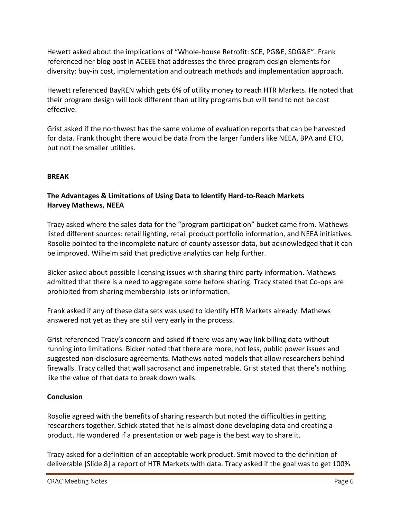Hewett asked about the implications of "Whole-house Retrofit: SCE, PG&E, SDG&E". Frank referenced her blog post in ACEEE that addresses the three program design elements for diversity: buy-in cost, implementation and outreach methods and implementation approach.

Hewett referenced BayREN which gets 6% of utility money to reach HTR Markets. He noted that their program design will look different than utility programs but will tend to not be cost effective.

Grist asked if the northwest has the same volume of evaluation reports that can be harvested for data. Frank thought there would be data from the larger funders like NEEA, BPA and ETO, but not the smaller utilities.

# **BREAK**

# **The Advantages & Limitations of Using Data to Identify Hard-to-Reach Markets Harvey Mathews, NEEA**

Tracy asked where the sales data for the "program participation" bucket came from. Mathews listed different sources: retail lighting, retail product portfolio information, and NEEA initiatives. Rosolie pointed to the incomplete nature of county assessor data, but acknowledged that it can be improved. Wilhelm said that predictive analytics can help further.

Bicker asked about possible licensing issues with sharing third party information. Mathews admitted that there is a need to aggregate some before sharing. Tracy stated that Co-ops are prohibited from sharing membership lists or information.

Frank asked if any of these data sets was used to identify HTR Markets already. Mathews answered not yet as they are still very early in the process.

Grist referenced Tracy's concern and asked if there was any way link billing data without running into limitations. Bicker noted that there are more, not less, public power issues and suggested non-disclosure agreements. Mathews noted models that allow researchers behind firewalls. Tracy called that wall sacrosanct and impenetrable. Grist stated that there's nothing like the value of that data to break down walls.

### **Conclusion**

Rosolie agreed with the benefits of sharing research but noted the difficulties in getting researchers together. Schick stated that he is almost done developing data and creating a product. He wondered if a presentation or web page is the best way to share it.

Tracy asked for a definition of an acceptable work product. Smit moved to the definition of deliverable [Slide 8] a report of HTR Markets with data. Tracy asked if the goal was to get 100%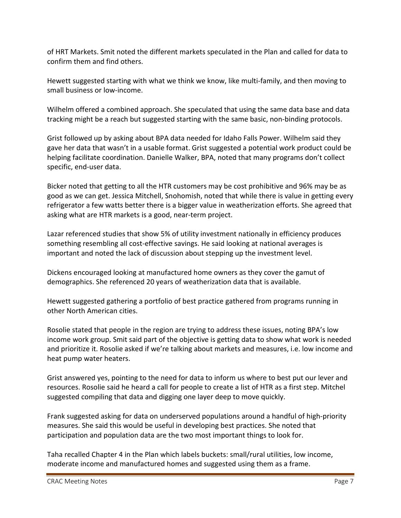of HRT Markets. Smit noted the different markets speculated in the Plan and called for data to confirm them and find others.

Hewett suggested starting with what we think we know, like multi-family, and then moving to small business or low-income.

Wilhelm offered a combined approach. She speculated that using the same data base and data tracking might be a reach but suggested starting with the same basic, non-binding protocols.

Grist followed up by asking about BPA data needed for Idaho Falls Power. Wilhelm said they gave her data that wasn't in a usable format. Grist suggested a potential work product could be helping facilitate coordination. Danielle Walker, BPA, noted that many programs don't collect specific, end-user data.

Bicker noted that getting to all the HTR customers may be cost prohibitive and 96% may be as good as we can get. Jessica Mitchell, Snohomish, noted that while there is value in getting every refrigerator a few watts better there is a bigger value in weatherization efforts. She agreed that asking what are HTR markets is a good, near-term project.

Lazar referenced studies that show 5% of utility investment nationally in efficiency produces something resembling all cost-effective savings. He said looking at national averages is important and noted the lack of discussion about stepping up the investment level.

Dickens encouraged looking at manufactured home owners as they cover the gamut of demographics. She referenced 20 years of weatherization data that is available.

Hewett suggested gathering a portfolio of best practice gathered from programs running in other North American cities.

Rosolie stated that people in the region are trying to address these issues, noting BPA's low income work group. Smit said part of the objective is getting data to show what work is needed and prioritize it. Rosolie asked if we're talking about markets and measures, i.e. low income and heat pump water heaters.

Grist answered yes, pointing to the need for data to inform us where to best put our lever and resources. Rosolie said he heard a call for people to create a list of HTR as a first step. Mitchel suggested compiling that data and digging one layer deep to move quickly.

Frank suggested asking for data on underserved populations around a handful of high-priority measures. She said this would be useful in developing best practices. She noted that participation and population data are the two most important things to look for.

Taha recalled Chapter 4 in the Plan which labels buckets: small/rural utilities, low income, moderate income and manufactured homes and suggested using them as a frame.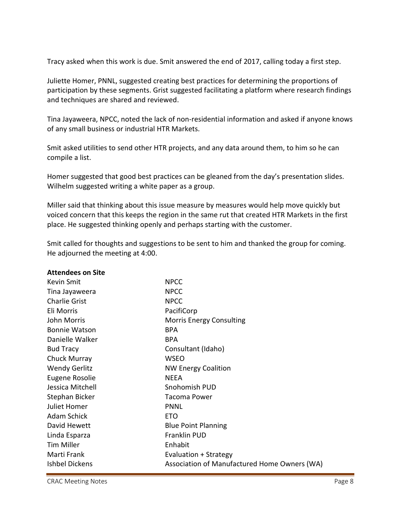Tracy asked when this work is due. Smit answered the end of 2017, calling today a first step.

Juliette Homer, PNNL, suggested creating best practices for determining the proportions of participation by these segments. Grist suggested facilitating a platform where research findings and techniques are shared and reviewed.

Tina Jayaweera, NPCC, noted the lack of non-residential information and asked if anyone knows of any small business or industrial HTR Markets.

Smit asked utilities to send other HTR projects, and any data around them, to him so he can compile a list.

Homer suggested that good best practices can be gleaned from the day's presentation slides. Wilhelm suggested writing a white paper as a group.

Miller said that thinking about this issue measure by measures would help move quickly but voiced concern that this keeps the region in the same rut that created HTR Markets in the first place. He suggested thinking openly and perhaps starting with the customer.

Smit called for thoughts and suggestions to be sent to him and thanked the group for coming. He adjourned the meeting at 4:00.

| <b>Attendees on Site</b>                                              |        |
|-----------------------------------------------------------------------|--------|
| Kevin Smit<br><b>NPCC</b>                                             |        |
| <b>NPCC</b><br>Tina Jayaweera                                         |        |
| <b>Charlie Grist</b><br><b>NPCC</b>                                   |        |
| Eli Morris<br>PacifiCorp                                              |        |
| John Morris<br><b>Morris Energy Consulting</b>                        |        |
| <b>Bonnie Watson</b><br><b>BPA</b>                                    |        |
| Danielle Walker<br><b>BPA</b>                                         |        |
| <b>Bud Tracy</b><br>Consultant (Idaho)                                |        |
| Chuck Murray<br><b>WSEO</b>                                           |        |
| <b>Wendy Gerlitz</b><br><b>NW Energy Coalition</b>                    |        |
| Eugene Rosolie<br><b>NEEA</b>                                         |        |
| Jessica Mitchell<br>Snohomish PUD                                     |        |
| Stephan Bicker<br><b>Tacoma Power</b>                                 |        |
| Juliet Homer<br><b>PNNL</b>                                           |        |
| Adam Schick<br><b>ETO</b>                                             |        |
| David Hewett<br><b>Blue Point Planning</b>                            |        |
| Franklin PUD<br>Linda Esparza                                         |        |
| <b>Tim Miller</b><br>Enhabit                                          |        |
| Marti Frank<br>Evaluation + Strategy                                  |        |
| <b>Ishbel Dickens</b><br>Association of Manufactured Home Owners (WA) |        |
| <b>CRAC Meeting Notes</b>                                             | Page 8 |